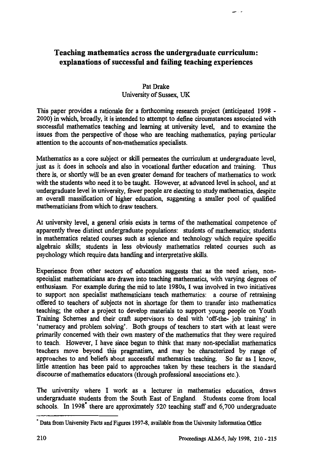## **Teaching mathematics across the undergraduate curriculum: explanations of successful and failing teaching experiences**

## **Pat Drake University of Sussex, UK**

**This paper provides a rationale for a forthcoming research project (anticipated 1998 - 2000) in which, broadly, it is intended to attempt to define circumstances associated with successful mathematics teaching and learning at university level, and to examine the issues from the perspective of those who are teaching mathematics, paying particular attention to the accounts of non-mathematics specialists.**

**Mathematics as a core subject or skill permeates the curriculum at undergraduate level, just as it does in schools and also in vocational further education and training. Thus there is, or shortly will be an even greater demand for teachers of mathematics to work with the students who need it to be taught. However, at advanced level in school, and at undergraduate level in university, fewer people are electing to study mathematics, despite an overall massification of higher education, suggesting a smaller pool of qualified mathematicians from which to draw teachers.**

**At university level, a general crisis exists in terms of the mathematical competence of apparently three distinct undergraduate populations: students of mathematics; students in mathematics related courses such as science and technology which require specific algebraic skills; students in less obviously mathematics related courses such as psychology which require data handling and interpretative skills.**

**Experience from other sectors of education suggests that as the need arises, nonspecialist mathematicians are drawn into teaching mathematics, with varying degrees of enthusiasm. For example during the mid to late 1980s, I was involved in two initiatives to support non specialist mathematicians teach mathematics: a course of retraining offered to teachers of subjects not in shortage for them to transfer into mathematics teaching; the other a project to develop materials to support young people on Youth Training Schemes and their craft supervisors to deal with 'off-the- job training' in `numeracy and problem solving'. Both groups of teachers to start with at least were primarily concerned with their own mastery of the mathematics that they were required to teach. However, I have since begun to think that many non-specialist mathematics teachers move beyond this pragmatism, and may be characterized by range of approaches to and beliefs about successful mathematics teaching. So far as I know, little attention has been paid to approaches taken by these teachers in the standard discourse of mathematics educators (through professional associations etc.).**

**The university where I work as a lecturer in mathematics education, draws undergraduate students from the South East of England. Students come from local schools. In 1998\* there are approximately 520 teaching staff and 6,700 undergraduate**

**Data from University Facts and Figures 1997-8, available from the University Information Office**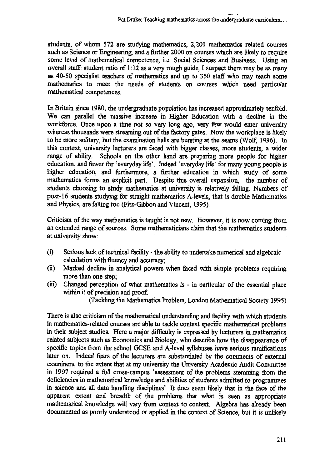**students, of whom 572 are studying mathematics, 2,200 mathematics related courses such as Science or Engineering, and a further 2000 on courses which are likely to require some level of mathematical competence, i.e. Social Sciences and Business. Using an overall staff: student ratio of 1:12 as a very rough guide, I suspect there may be as many as 40-50 specialist teachers of mathematics and up to 350 staff who may teach some mathematics to meet the needs of students on courses which need particular mathematical competences.**

**In Britain since 1980, the undergraduate population has increased approximately tenfold. We can parallel the massive increase in Higher Education with a decline in the workforce. Once upon a time not so very long ago, very few would enter university whereas thousands were streaming out of the factory gates. Now the workplace is likely to be more solitary, but the examination halls are bursting at the seams (Wolf, 1996). In this context, university lecturers are faced with bigger classes, more students, a wider range of ability. Schools on the other hand are preparing more people for higher education, and fewer for 'everyday life'. Indeed 'everyday life' for many young people is higher education, and furthermore, a further education in which study of some mathematics forms an explicit part. Despite this overall expansion, the number of students choosing to study mathematics at university is relatively falling. Numbers of post-16 students studying for straight mathematics A-levels, that is double Mathematics and Physics, are falling too (Fitz-Gibbon and Vincent, 1995).**

**Criticism of the way mathematics is taught is not new. However, it is now coming from an extended range of sources. Some mathematicians claim that the mathematics students at university show:**

- **(1) Serious lack of technical facility the ability to undertake numerical and algebraic calculation with fluency and accuracy;**
- **(ii) Marked decline in analytical powers when faced with simple problems requiring more than one step;**
- **(iii) Changed perception of what mathematics is in particular of the essential place within it of precision and proof.**

**(Tackling the Mathematics Problem, London Mathematical Society 1995)**

**There is also criticism of the mathematical understanding and facility with which students in mathematics-related courses are able to tackle context specific mathematical problems in their subject studies. Here a major difficulty is expressed by lecturers in mathematics related subjects such as Economics and Biology, who describe how the disappearance of specific topics from the school GCSE and A-level syllabuses have serious ramifications later on. Indeed fears of the lecturers are substantiated by the comments of external examiners, to the extent that at my university the University Academic Audit Committee in 1997 required a full cross-campus 'assessment of the problems stemming from the deficiencies in mathematical knowledge and abilities of students admitted to programmes in science and all data handling disciplines'. It does seem likely that in the face of the apparent extent and breadth of the problems that what is seen as appropriate mathematical knowledge will vary from context to context. Algebra has already been documented as poorly understood or applied in the context of Science, but it is unlikely**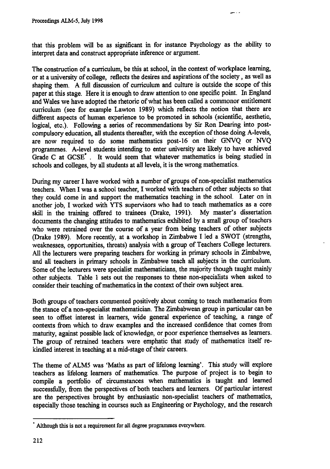**that this problem will be as significant in for instance Psychology as the ability to interpret data and construct appropriate inference or argument.**

**The construction of a curriculum, be this at school, in the context of workplace learning, or at a university of college, reflects the desires and aspirations of the society , as well as shaping them. A full discussion of curriculum and culture is outside the scope of this paper at this stage. Here it is enough to draw attention to one specific point. In England and Wales we have adopted the rhetoric of what has been called a commonor entitlement curriculum (see for example Lawton 1989) which reflects the notion that there are different aspects of human experience to be promoted in schools (scientific, aesthetic, logical, etc.). Following a series of recommendations by Sir Ron Dearing into postcompulsory education, all students thereafter, with the exception of those doing A-levels, are now required to do some mathematics post-16 on their GNVQ or NVQ programmes. A-level students intending to enter university are likely to have achieved Grade C at GCSE. . It would seem that whatever mathematics is being studied in schools and colleges, by all students at all levels, it is the wrong mathematics.**

**During my career I have worked with a number of groups of non-specialist mathematics teachers. When I was a school teacher, I worked with teachers of other subjects so that they could come in and support the mathematics teaching in the school. Later on in another job, I worked with YTS supervisors who had to teach mathematics as a core skill in the training offered to trainees (Drake, 1991). My master's dissertation documents the changing attitudes to mathematics exhibited by a small group of teachers who were retrained over the course of a year from being teachers of other subjects (Drake 1989). More recently, at a workshop in Zimbabwe I led a SWOT (strengths, weaknesses, opportunities, threats) analysis with a group of Teachers College lecturers. All the lecturers were preparing teachers for working in primary schools in Zimbabwe, and all teachers in primary schools in Zimbabwe teach all subjects in the curriculum. Some of the lecturers were specialist mathematicians, the majority though taught mainly other subjects. Table 1 sets out the responses to these non-specialists when asked to consider their teaching of mathematics in the context of their own subject area.**

**Both groups of teachers commented positively about coming to teach mathematics from the stance of a non-specialist mathematician. The Zimbabwean group in particular can be seen to offset interest in learners, wide general experience of teaching, a range of contexts from which to draw examples and the increased confidence that comes from maturity, against possible lack of knowledge, or poor experience themselves as learners. The group of retrained teachers were emphatic that study of mathematics itself rekindled interest in teaching at a mid-stage of their careers.**

**The theme of ALMS was 'Maths as part of lifelong learning'. This study will explore teachers as lifelong learners of mathematics. The purpose of project is to begin to compile a portfolio of circumstances when mathematics is taught and learned successfully, from the perspectives of both teachers and learners. Of particular interest are the perspectives brought by enthusiastic non-specialist teachers of mathematics, especially those teaching in courses such as Engineering or Psychology, and the research**

**Although this is not a requirement for all degree programmes everywhere.**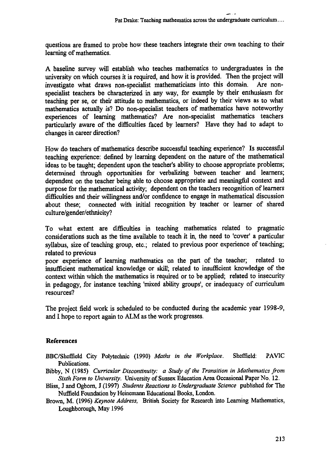**questions are framed to probe how these teachers integrate their own teaching to their learning of mathematics.**

**A baseline survey will establish who teaches mathematics to undergraduates in the university on which courses it is required, and how it is provided. Then the project will investigate what draws non-specialist mathematicians into this domain. Are nonspecialist teachers be characterized in any way, for example by their enthusiasm for teaching per se, or their attitude to mathematics, or indeed by their views as to what mathematics actually is? Do non-specialist teachers of mathematics have noteworthy experiences of learning mathematics? Are non-specialist mathematics teachers particularly aware of the difficulties faced by learners? Have they had to adapt to changes in career direction?**

**How do teachers of mathematics describe successful teaching experience? Is successful teaching experience: defined by learning dependent on the nature of the mathematical ideas to be taught; dependent upon the teacher's ability to choose appropriate problems; determined through opportunities for verbalizing between teacher and learners; dependent on the teacher being able to choose appropriate and meaningful context and purpose for the mathematical activity; dependent on the teachers recognition of learners difficulties and their willingness and/or confidence to engage in mathematical discussion about these; connected with initial recognition by teacher or learner of shared culture/gender/ethnicity?**

**To what extent are difficulties in teaching mathematics related to pragmatic considerations such as the time available to teach it in, the need to 'cover' a particular syllabus, size of teaching group, etc.; related to previous poor experience of teaching; related to previous**

**poor experience of learning mathematics on the part of the teacher; related to insufficient mathematical knowledge or skill; related to insufficient knowledge of the context within which the mathematics is required or to be applied; related to insecurity in pedagogy, for instance teaching 'mixed ability groups', or inadequacy of curriculum resources?**

**The project field work is scheduled to be conducted during the academic year 1998-9, and I hope to report again to ALM as the work progresses.**

## **References**

**BBC/Sheffield City Polytechnic (1990)** *Maths in the Workplace.* **Sheffield: PAVIC Publications.**

- **Bibby, N (1985)** *Curricular Discontinuity: a Study of the Transition in Mathematics from Sixth Form to University.* **University of Sussex Education Area Occasional Paper No. 12.**
- **Bliss, J and Ogbom, J (1997)** *Students Reactions to Undergraduate Science* **published for The Nuffield Foundation by Heinemann Educational Books, London.**
- **Brown, M. (1996)** *Keynote Address,* **British Society for Research into Learning Mathematics, Loughborough, May 1996**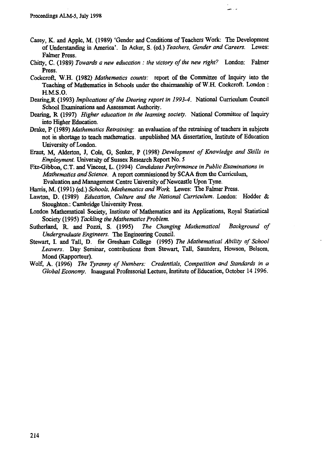- **Casey, K. and Apple, M. (1989) 'Gender and Conditions of Teachers Work: The Development of Understanding in America'. In Acker, S. (ed.)** *Teachers, Gender and Careers.* **Lewes: Falmer Press.**
- **Chitty, C. (1989)** *Towards a new education : the victory of the new right?* **London: Falmer Press.**
- **Cockcroft, W.H. (1982)** *Mathematics counts:* **report of the Committee of Inquiry into the Teaching of Mathematics in Schools under the chairmanship of W.H. Cockcroft. London : H.M.S .0.**
- **Dearing,R (1993)** *Implications of the Dearing report in 1993-4.* **National Curriculum Council School Examinations and Assessment Authority.**
- **Dearing, R (1997)** *Higher education in the learning society.* **National Committee of Inquiry into Higher Education.**
- **Drake, P (1989)** *Mathematics Retraining:* **an evaluation of the retraining of teachers in subjects not in shortage to teach mathematics. unpublished MA dissertation, Institute of Education University of London.**
- **Eraut, M, Alderton, J, Cole, G, Senker, P (1998)** *Development of Knowledge and Skills in Employment.* **University of Sussex Research Report No. 5**
- **Fitz-Gibbon, C.T. and Vincent, L. (1994)** *Candidates Performance in Public Examinations in Mathematics and Science.* **A report commissioned by SCAA from the Curriculum, Evaluation and Management Centre University of Newcastle Upon Tyne.**
- **Harris, M. (1991) (ed.)** *Schools, Mathematics and Work.* **Lewes: The Falmer Press.**
- **Lawton, D. (1989)** *Education, Culture and the National Curriculum.* **London: Hodder & Stoughton.: Cambridge University Press.**
- **London Mathematical Society, Institute of Mathematics and its Applications, Royal Statistical Society (1995)** *Tackling the Mathematics Problem.*
- **Sutherland, R. and Pozzi, S. (1995)** *The Changing Mathematical Background of Undergraduate Engineers.* **The Engineering Council.**
- **Stewart, I. and Tall, D. for Gresham College (1995)** *The Mathematical Ability of School Leavers.* **Day Seminar, contributions from Stewart, Tall, Saunders, Howson, Belsom, Mond (Rapporteur).**
- **Wolf, A. (1996)** *The Tyranny of Numbers: Credentials, Competition and Standards in a Global Economy.* **Inaugural Professorial Lecture, Institute of Education, October 14 1996.**